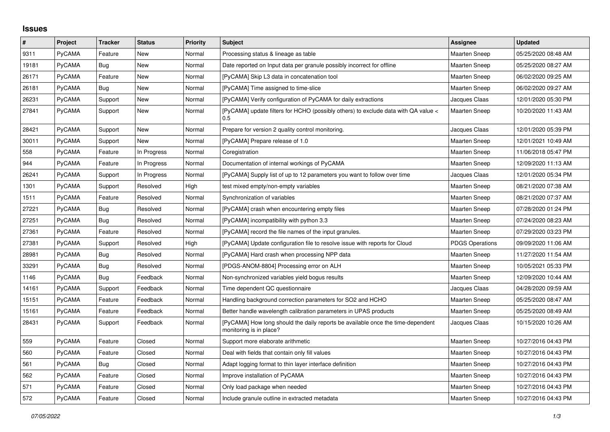## **Issues**

| #     | Project       | <b>Tracker</b> | <b>Status</b> | <b>Priority</b> | <b>Subject</b>                                                                                             | Assignee               | <b>Updated</b>      |
|-------|---------------|----------------|---------------|-----------------|------------------------------------------------------------------------------------------------------------|------------------------|---------------------|
| 9311  | PyCAMA        | Feature        | <b>New</b>    | Normal          | Processing status & lineage as table                                                                       | <b>Maarten Sneep</b>   | 05/25/2020 08:48 AM |
| 19181 | PyCAMA        | Bug            | New           | Normal          | Date reported on Input data per granule possibly incorrect for offline                                     | Maarten Sneep          | 05/25/2020 08:27 AM |
| 26171 | <b>PyCAMA</b> | Feature        | New           | Normal          | [PyCAMA] Skip L3 data in concatenation tool                                                                | <b>Maarten Sneep</b>   | 06/02/2020 09:25 AM |
| 26181 | PyCAMA        | Bug            | <b>New</b>    | Normal          | [PyCAMA] Time assigned to time-slice                                                                       | <b>Maarten Sneep</b>   | 06/02/2020 09:27 AM |
| 26231 | PyCAMA        | Support        | New           | Normal          | [PyCAMA] Verify configuration of PyCAMA for daily extractions                                              | Jacques Claas          | 12/01/2020 05:30 PM |
| 27841 | <b>PyCAMA</b> | Support        | New           | Normal          | [PyCAMA] update filters for HCHO (possibly others) to exclude data with QA value <<br>0.5                  | Maarten Sneep          | 10/20/2020 11:43 AM |
| 28421 | PyCAMA        | Support        | <b>New</b>    | Normal          | Prepare for version 2 quality control monitoring.                                                          | Jacques Claas          | 12/01/2020 05:39 PM |
| 30011 | <b>PyCAMA</b> | Support        | New           | Normal          | [PyCAMA] Prepare release of 1.0                                                                            | <b>Maarten Sneep</b>   | 12/01/2021 10:49 AM |
| 558   | PyCAMA        | Feature        | In Progress   | Normal          | Coregistration                                                                                             | Maarten Sneep          | 11/06/2018 05:47 PM |
| 944   | <b>PyCAMA</b> | Feature        | In Progress   | Normal          | Documentation of internal workings of PyCAMA                                                               | <b>Maarten Sneep</b>   | 12/09/2020 11:13 AM |
| 26241 | PyCAMA        | Support        | In Progress   | Normal          | [PyCAMA] Supply list of up to 12 parameters you want to follow over time                                   | Jacques Claas          | 12/01/2020 05:34 PM |
| 1301  | PyCAMA        | Support        | Resolved      | High            | test mixed empty/non-empty variables                                                                       | <b>Maarten Sneep</b>   | 08/21/2020 07:38 AM |
| 1511  | PyCAMA        | Feature        | Resolved      | Normal          | Synchronization of variables                                                                               | <b>Maarten Sneep</b>   | 08/21/2020 07:37 AM |
| 27221 | PyCAMA        | <b>Bug</b>     | Resolved      | Normal          | [PyCAMA] crash when encountering empty files                                                               | Maarten Sneep          | 07/28/2020 01:24 PM |
| 27251 | <b>PyCAMA</b> | <b>Bug</b>     | Resolved      | Normal          | [PyCAMA] incompatibility with python 3.3                                                                   | <b>Maarten Sneep</b>   | 07/24/2020 08:23 AM |
| 27361 | PyCAMA        | Feature        | Resolved      | Normal          | [PyCAMA] record the file names of the input granules.                                                      | Maarten Sneep          | 07/29/2020 03:23 PM |
| 27381 | PyCAMA        | Support        | Resolved      | High            | [PyCAMA] Update configuration file to resolve issue with reports for Cloud                                 | <b>PDGS Operations</b> | 09/09/2020 11:06 AM |
| 28981 | <b>PyCAMA</b> | <b>Bug</b>     | Resolved      | Normal          | [PyCAMA] Hard crash when processing NPP data                                                               | Maarten Sneep          | 11/27/2020 11:54 AM |
| 33291 | PyCAMA        | <b>Bug</b>     | Resolved      | Normal          | [PDGS-ANOM-8804] Processing error on ALH                                                                   | Maarten Sneep          | 10/05/2021 05:33 PM |
| 1146  | <b>PyCAMA</b> | <b>Bug</b>     | Feedback      | Normal          | Non-synchronized variables yield bogus results                                                             | <b>Maarten Sneep</b>   | 12/09/2020 10:44 AM |
| 14161 | <b>PyCAMA</b> | Support        | Feedback      | Normal          | Time dependent QC questionnaire                                                                            | Jacques Claas          | 04/28/2020 09:59 AM |
| 15151 | <b>PyCAMA</b> | Feature        | Feedback      | Normal          | Handling background correction parameters for SO2 and HCHO                                                 | Maarten Sneep          | 05/25/2020 08:47 AM |
| 15161 | <b>PyCAMA</b> | Feature        | Feedback      | Normal          | Better handle wavelength calibration parameters in UPAS products                                           | Maarten Sneep          | 05/25/2020 08:49 AM |
| 28431 | PyCAMA        | Support        | Feedback      | Normal          | [PyCAMA] How long should the daily reports be available once the time-dependent<br>monitoring is in place? | Jacques Claas          | 10/15/2020 10:26 AM |
| 559   | PyCAMA        | Feature        | Closed        | Normal          | Support more elaborate arithmetic                                                                          | <b>Maarten Sneep</b>   | 10/27/2016 04:43 PM |
| 560   | <b>PyCAMA</b> | Feature        | Closed        | Normal          | Deal with fields that contain only fill values                                                             | Maarten Sneep          | 10/27/2016 04:43 PM |
| 561   | <b>PyCAMA</b> | Bug            | Closed        | Normal          | Adapt logging format to thin layer interface definition                                                    | <b>Maarten Sneep</b>   | 10/27/2016 04:43 PM |
| 562   | <b>PyCAMA</b> | Feature        | Closed        | Normal          | Improve installation of PyCAMA                                                                             | <b>Maarten Sneep</b>   | 10/27/2016 04:43 PM |
| 571   | <b>PyCAMA</b> | Feature        | Closed        | Normal          | Only load package when needed                                                                              | <b>Maarten Sneep</b>   | 10/27/2016 04:43 PM |
| 572   | <b>PyCAMA</b> | Feature        | Closed        | Normal          | Include granule outline in extracted metadata                                                              | <b>Maarten Sneep</b>   | 10/27/2016 04:43 PM |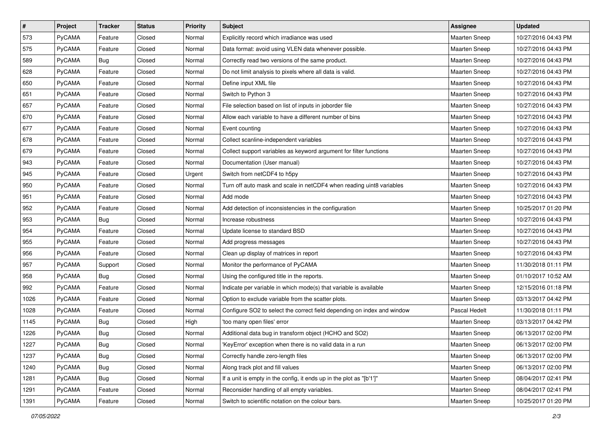| $\sharp$ | Project       | <b>Tracker</b> | <b>Status</b> | <b>Priority</b> | Subject                                                                 | <b>Assignee</b>      | <b>Updated</b>      |
|----------|---------------|----------------|---------------|-----------------|-------------------------------------------------------------------------|----------------------|---------------------|
| 573      | PyCAMA        | Feature        | Closed        | Normal          | Explicitly record which irradiance was used                             | Maarten Sneep        | 10/27/2016 04:43 PM |
| 575      | PyCAMA        | Feature        | Closed        | Normal          | Data format: avoid using VLEN data whenever possible.                   | <b>Maarten Sneep</b> | 10/27/2016 04:43 PM |
| 589      | PyCAMA        | Bug            | Closed        | Normal          | Correctly read two versions of the same product.                        | <b>Maarten Sneep</b> | 10/27/2016 04:43 PM |
| 628      | PyCAMA        | Feature        | Closed        | Normal          | Do not limit analysis to pixels where all data is valid.                | <b>Maarten Sneep</b> | 10/27/2016 04:43 PM |
| 650      | PyCAMA        | Feature        | Closed        | Normal          | Define input XML file                                                   | <b>Maarten Sneep</b> | 10/27/2016 04:43 PM |
| 651      | PyCAMA        | Feature        | Closed        | Normal          | Switch to Python 3                                                      | <b>Maarten Sneep</b> | 10/27/2016 04:43 PM |
| 657      | PyCAMA        | Feature        | Closed        | Normal          | File selection based on list of inputs in joborder file                 | Maarten Sneep        | 10/27/2016 04:43 PM |
| 670      | PyCAMA        | Feature        | Closed        | Normal          | Allow each variable to have a different number of bins                  | Maarten Sneep        | 10/27/2016 04:43 PM |
| 677      | PyCAMA        | Feature        | Closed        | Normal          | Event counting                                                          | Maarten Sneep        | 10/27/2016 04:43 PM |
| 678      | PyCAMA        | Feature        | Closed        | Normal          | Collect scanline-independent variables                                  | <b>Maarten Sneep</b> | 10/27/2016 04:43 PM |
| 679      | <b>PyCAMA</b> | Feature        | Closed        | Normal          | Collect support variables as keyword argument for filter functions      | <b>Maarten Sneep</b> | 10/27/2016 04:43 PM |
| 943      | PyCAMA        | Feature        | Closed        | Normal          | Documentation (User manual)                                             | <b>Maarten Sneep</b> | 10/27/2016 04:43 PM |
| 945      | <b>PyCAMA</b> | Feature        | Closed        | Urgent          | Switch from netCDF4 to h5py                                             | <b>Maarten Sneep</b> | 10/27/2016 04:43 PM |
| 950      | PyCAMA        | Feature        | Closed        | Normal          | Turn off auto mask and scale in netCDF4 when reading uint8 variables    | Maarten Sneep        | 10/27/2016 04:43 PM |
| 951      | PyCAMA        | Feature        | Closed        | Normal          | Add mode                                                                | <b>Maarten Sneep</b> | 10/27/2016 04:43 PM |
| 952      | PyCAMA        | Feature        | Closed        | Normal          | Add detection of inconsistencies in the configuration                   | Maarten Sneep        | 10/25/2017 01:20 PM |
| 953      | PyCAMA        | Bug            | Closed        | Normal          | Increase robustness                                                     | <b>Maarten Sneep</b> | 10/27/2016 04:43 PM |
| 954      | PyCAMA        | Feature        | Closed        | Normal          | Update license to standard BSD                                          | <b>Maarten Sneep</b> | 10/27/2016 04:43 PM |
| 955      | PyCAMA        | Feature        | Closed        | Normal          | Add progress messages                                                   | <b>Maarten Sneep</b> | 10/27/2016 04:43 PM |
| 956      | PyCAMA        | Feature        | Closed        | Normal          | Clean up display of matrices in report                                  | Maarten Sneep        | 10/27/2016 04:43 PM |
| 957      | PyCAMA        | Support        | Closed        | Normal          | Monitor the performance of PyCAMA                                       | Maarten Sneep        | 11/30/2018 01:11 PM |
| 958      | PyCAMA        | Bug            | Closed        | Normal          | Using the configured title in the reports.                              | <b>Maarten Sneep</b> | 01/10/2017 10:52 AM |
| 992      | PyCAMA        | Feature        | Closed        | Normal          | Indicate per variable in which mode(s) that variable is available       | Maarten Sneep        | 12/15/2016 01:18 PM |
| 1026     | <b>PyCAMA</b> | Feature        | Closed        | Normal          | Option to exclude variable from the scatter plots.                      | <b>Maarten Sneep</b> | 03/13/2017 04:42 PM |
| 1028     | PyCAMA        | Feature        | Closed        | Normal          | Configure SO2 to select the correct field depending on index and window | Pascal Hedelt        | 11/30/2018 01:11 PM |
| 1145     | PyCAMA        | Bug            | Closed        | High            | 'too many open files' error                                             | <b>Maarten Sneep</b> | 03/13/2017 04:42 PM |
| 1226     | PyCAMA        | <b>Bug</b>     | Closed        | Normal          | Additional data bug in transform object (HCHO and SO2)                  | <b>Maarten Sneep</b> | 06/13/2017 02:00 PM |
| 1227     | PyCAMA        | Bug            | Closed        | Normal          | 'KeyError' exception when there is no valid data in a run               | Maarten Sneep        | 06/13/2017 02:00 PM |
| 1237     | PyCAMA        | Bug            | Closed        | Normal          | Correctly handle zero-length files                                      | <b>Maarten Sneep</b> | 06/13/2017 02:00 PM |
| 1240     | PyCAMA        | Bug            | Closed        | Normal          | Along track plot and fill values                                        | Maarten Sneep        | 06/13/2017 02:00 PM |
| 1281     | PyCAMA        | Bug            | Closed        | Normal          | If a unit is empty in the config, it ends up in the plot as "[b'1']"    | Maarten Sneep        | 08/04/2017 02:41 PM |
| 1291     | PyCAMA        | Feature        | Closed        | Normal          | Reconsider handling of all empty variables.                             | Maarten Sneep        | 08/04/2017 02:41 PM |
| 1391     | PyCAMA        | Feature        | Closed        | Normal          | Switch to scientific notation on the colour bars.                       | Maarten Sneep        | 10/25/2017 01:20 PM |